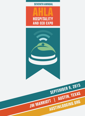



**SEVENTH ANNUAL**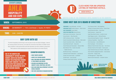The AHLA Hospitality and ECO Expo is the one place to learn the latest strategies, observe the newest products and services, and make the connections that deliver incredible results. Many exhibitors create partnerships with both attendees and other exhibitors, giving them TWO audiences while displaying the newest trends offered to the Hotel Industry.

# **WHY EXPO WITH US!**

# **EXHIBITOR BENEFITS:**

# **COME MEET OUR 2015 BOARD OF DIRECTORS**

**WHEN: SEPTEMBER 9, 2015**

### **TIME: 2:00 – 5:00 PM**

**WHERE: JW MARRIOTT | 110 E. 2nd Street | Austin, TX 78701**



- **HIGHLY TARGETED AUDIENCE**
- **ACCESS TO KEY DECISION MAKERS**
- **BUILD YOUR BRAND AND INCREASE AWARENESS OF YOUR PRODUCTS AND SERVICES**
- **INFLUENCE AND UNDERSTAND THE HOTEL INDUSTRY'S NEEDS, PERCEPTIONS, AND TASTES**
- **ONE ON ONE ROUND TABLE OPPORTUNITY WITH HOTEL GENERAL MANAGERS**
- **POST EVENT ADVERTISING AT MANAGERS RECEPTION**

 $\mathbf{O}$ 

**DUE TO THE GROWTH AND SUSTAINABILITY WITHIN THE HOTEL MARKET, AUSTIN HAS BECOME A MAGNET FOR ATTRACTING VENDORS FROM EVERY INDUSTRY. THE ONLY AUSTIN EXPO THAT GUARANTEES YOU ONE ON ONE OPPORTUNITIES WITH HOTEL DECISION MAKERS.**





# **SEVENTH ANNUAL**

our Seasons Hotel – Rob Hagelberg Holiday Inn Express North Central – Hitesh Patel Iome2Suites by Hilton – Andy Patel Hotel Granduca – Joseph Violi Hyatt Place North Central – Jennifer Currier Hyatt Regency Austin – Michael Murphy 1tercontinental Stephen F. Austin – George Hall akeway Hospitality – Vijay Patel Omni Downtown – Gene McMenamin mni Southpark – Chris Coleman adisson Hotel & Suites Town Lake – Tom Schurr heraton Austin at the Capitol – Scott Larsen uper Shuttle & Execucar of Austin - Billy Carter exas Hotel & Lodging Association – Scott Joslove owne Park – Gregory Tyler VHI Management – Roger Millar Westin Austin Downtown – Kirstofer Carlson

| <b>PRESIDENT, Drew McQuade - W Hotel</b>              | F          |
|-------------------------------------------------------|------------|
| <b>PRESIDENT ELECT, Robert Watson - Hilton Austin</b> | Н          |
| <b>PAST PRESIDENT, James Walsh</b>                    | Н          |
| <b>EXECUTIVE DIRECTOR, Denise Eisman</b>              | Н          |
| Aloft Austin at the Domain - Dana Cust                | Н          |
| Around Austin - Mary Reynolds                         | Н          |
| AT&T Conference Center - Ted Hibler                   | Ir         |
| Austin Convention & Visitors Bureau - Bob Lander      | L          |
| Austin Convention Center - Mark Tester                | 0          |
| Austin Marriott South - Andy Zinni                    | $\circ$    |
| Austin Restaurant Association - Skeeter Miller        | R          |
| Best Western Plus / Austin City Hotel                 | S          |
| - Debbie Simmons                                      | S          |
| Bunkhouse Group - Pamela Suhr                         | Т          |
| Celebrate Austin Publications - Judy Barrick          | T          |
| Double Tree Guest Suites - Joe Bolash                 | $\vee$     |
| Driskill Hotel - Lance Stumpf                         | $\sqrt{ }$ |
| Embassy Suites Austin Central – Jim Reist             |            |

# **AUSTIN IS ONE OF THE STRONGEST HOTEL MARKETS IN THE COUNTRY.**

# **CLICK HERE FOR AN UPDATED LISTING OF PARTNER HOTELS.**

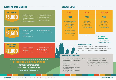## **• OVER 275 HOTELS IN AUSTIN • OVER 33,000 ROOMS IN AUSTIN**

- before booth assignments are made.
- nan with booth description. Booth accessories
- assistance with banner set up, easel).
- e registration will begin at 1:00 p.m.
- ors expected to be set up by noon.
- e Vendor & Sponsor cocktail hour with  $d$  Board of Directors (5:00 – 6:00 p.m.)
- ootage per booth 6x8.



- Naming Right To Show
- Premier Booth Opportunity In Sponsor Designated Area
- Invite To AHLA Board Meeting
- 6 Show Tickets
- Recognition On Press Release
- $\blacksquare$  Sales Collateral At Reg
- Complimentary Valet F
- **•** Booth at AHLA Lunche
- Recognition At Registra
- AHLA Annual Member

# **BECOME AN EXPO SPONSOR!** MELLED AND SHOW AT EXPO!

# **\$5,000**



# **\$2,000 REGISTRATION SPONSOR**

- Premier Booth Opportunity In Sponsor Designated Area
- 4 Show Tickets • Recognition On Press Release
- Recognition On Slide-Show Presentation & Website
- Recognition At AHLA lu
- 1 Complimentary Valet

- Premier Booth Opportunity In Sponsor Designated Area
- 2 Show Tickets
- Draws And Presents Prizes
- 1 Complimentary Valet
- Recognition At AHLA Membership Luncheon
- Event Wristband Spon

# **\$1000 FOOD & RECEPTION SPONSOR**

| <b>TITLE SPONSOR</b>                  |  | Naming Right To Show                                                                                                                                                                                 | · Sales Collateral At Registration Table                                                                                                               | <b>A-LIST</b>                                                                                                                                                    | <b>ELITE</b>                                                                                                                                |
|---------------------------------------|--|------------------------------------------------------------------------------------------------------------------------------------------------------------------------------------------------------|--------------------------------------------------------------------------------------------------------------------------------------------------------|------------------------------------------------------------------------------------------------------------------------------------------------------------------|---------------------------------------------------------------------------------------------------------------------------------------------|
| $\mathbf{5.000}$                      |  | Premier Booth Opportunity In<br><b>Sponsor Designated Area</b><br>Invite To AHLA Board Meeting<br>6 Show Tickets<br>Recognition On Press Release                                                     | <b>Complimentary Valet Parking</b><br>• Booth at AHLA Luncheon<br>Recognition At Registration Table<br>$\mathbf{E}$ .<br><b>AHLA Annual Membership</b> | <b>\$1000</b>                                                                                                                                                    | <b>s700</b>                                                                                                                                 |
|                                       |  |                                                                                                                                                                                                      |                                                                                                                                                        | <b>Corner Or Entrance Location</b><br>1 Skirted Tables<br>2 Chairs (Optional)<br><b>Electrical &amp; Wifi Provided</b>                                           | 1 Skirted Table<br>2 Chairs (Optional)<br>2 Show Tickets<br>5 round table meet/greet                                                        |
| <b>SHOW SPONSOR</b><br>2,500          |  | Premier Booth Opportunity In<br><b>Sponsor Designated Area</b><br>4 Show Tickets<br>$\mathbf{E}^{(1)}$<br><b>Recognition On Press Release</b><br>Recognition On Slide-Show<br>Presentation & Website | Recognition At AHLA luncheon<br>$\mathbf{E}^{(1)}$<br>1 Complimentary Valet Parking                                                                    | <b>4 Show Tickets</b><br>2 Drink Tickets<br><b>Recognition On Website</b><br>1 Complimentary Valet Parking<br>10 round table meet/greet<br>with hotel manager(s) | with hotel manager(s)                                                                                                                       |
| <b>REGISTRATION</b><br><b>SPONSOR</b> |  | Premier Booth Opportunity In<br><b>Sponsor Designated Area</b><br>• 2 Show Tickets<br><b>Draws And Presents Prizes</b><br>$\mathbf{u}$ .                                                             | • 1 Complimentary Valet Parking<br><b>Recognition At AHLA</b><br>Membership Luncheon<br><b>Event Wristband Sponsor</b>                                 |                                                                                                                                                                  | <b>PRE-VENDOR INFORMATION:</b><br>All payments must be received be<br>Please email or call Denise Eisma<br>must be requested in advance (as |
|                                       |  |                                                                                                                                                                                                      |                                                                                                                                                        | <b>PRE-VENDOR SET-UP INFORMATION:</b><br>Vendor showcase is between 2:00 p.m. - 5:00 p.m.                                                                        | Attendee                                                                                                                                    |
|                                       |  | <b><i>S1000 FOOD &amp; RECEPTION SPONSOR</i></b>                                                                                                                                                     |                                                                                                                                                        | . All vendors must check in at registration<br>before unloading.                                                                                                 | All vendor                                                                                                                                  |
|                                       |  | <b>CUSTOMIZE YOUR SPONSORSHIP</b>                                                                                                                                                                    |                                                                                                                                                        | At registration you will be given your<br>assigned booth.                                                                                                        | <b>Exclusive</b><br>GM's and                                                                                                                |
|                                       |  | <b>CONTACT DENISE EISMAN FOR DETAILS!</b>                                                                                                                                                            |                                                                                                                                                        | · Committee volunteers will guide you to<br>assigned booth area.                                                                                                 | · Square for                                                                                                                                |
|                                       |  | DENISE@AUSTINLODGING.ORG                                                                                                                                                                             |                                                                                                                                                        | · Unloading area will be located at service<br>entrance of hotel.                                                                                                |                                                                                                                                             |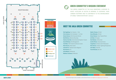**BOOTH LAYOUT**

THE GREEN COMMITTEE OF THE AHLA MAINTAINS A MISSION TO ASSIST HOTELIERS IN AUSTIN IN WORKING TO DECREASE THEIR CARBON FOOTPRINT AND TO CONTRIBUTE TO THE ENHANCEMENT OF VIABLE "GREEN INITIATIVES" LOCALLY.

**GREEN COMMITTEE'S MISSION STATEMENT**

| Rob Hagelberg, Four Seasons - Chair                   |
|-------------------------------------------------------|
| Chris Coleman, Omni Southpark - Co-Chair              |
| <b>Denise Eisman, AHLA Executive Director</b>         |
| <b>Bob McGivne, Balcones Recycling</b>                |
| Gianluca Vecchiet, InterContinental Stephen F. Austin |
| Sarah McElwee, Pest Management                        |
| Ted Hibler, AT&T Hotel & Conference Center            |
| <b>Mark Decario, Hilton Austin</b>                    |
| <b>Judy Barrick, Celebrate Austin Magazine</b>        |
| Rey Patriarca, ICS                                    |
| <b>Scott Blalock, JW Marriott</b>                     |
| <b>Matthew Tuckness, JW Marriott</b>                  |



- **Nadine Thomas,** W Hotel
- **Drew McQuade,** W Hotel
- **Aimee Stevens,** Texas Tropical Plants
- **Juli Patel,** HD Supply
- **Alex Mendez,** Ontility Solar
- **Jennifer Moran,** Texas Gas Service
- **Craig Rosen,** Kimberly Clark Professional
- **Rick Johnson,** Outdoor Lightning Perspectives
- **John Maley,** Hotel Ella
- **Frank Richards,** Bee USA

# **MEET THE AHLA GREEN COMMITTEE**